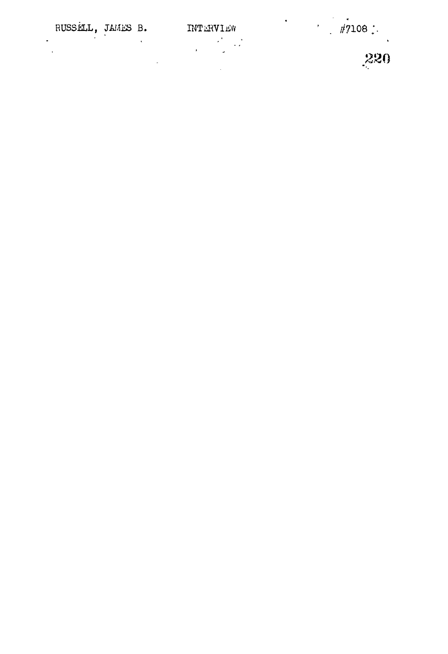# RUSSELL, JAMES B.

 $\downarrow$ 

 $\ddot{\phantom{a}}$  $\ddot{\phantom{a}}$  $\ddot{\phantom{a}}$  INTERVIEW 

 $\frac{1}{2}$ 

 $\frac{1}{220}$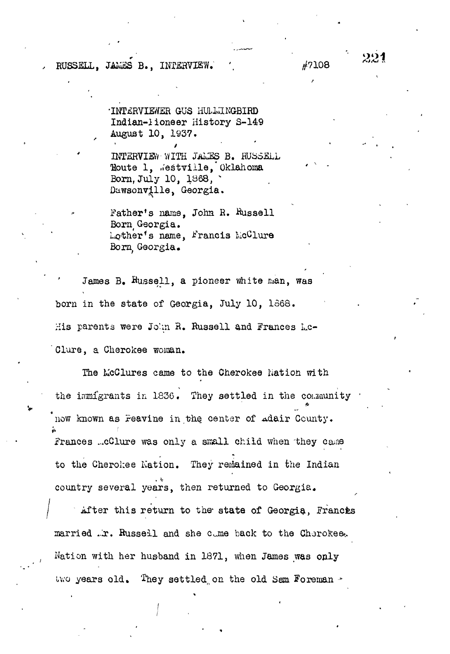#### RUSSELL. JAMES B., INTERVIEW. '.  $\#7108$

•INTERVIEWER GUS HUL1IINGBIRD Indian-iioneer History S-149 August 10, 1937.

INTERVIEW-WITH JAuSS B. RUSSELL Houte 1, "estville, Oklahoma Born, July 10, 1368,  $\ddot{\phantom{1}}$ Dawsonville, Georgia.

Father's name. John R. Russell Born Georgia. Lother's name, Francis McClure Born, Georgia,

James B. Russell, a pioneer white man, was born in the state of Georgia, July 10, 1568. His parents were John R. Russell and Frances Lc-'Clare, a Cherokee woman.

The KcClures came to the Cherokee Nation with the immigrants in 1836. They settled in the community now known as Peavine in the center of adair County. Frances ...cClure was only a small child when they came to the Cherokee Nation. They remained in the Indian country several years, then returned to Georgia.

After this return to the state of Georgia, Francis married .r. Russell and she cane back to the Cherokee. Nation with her husband in 1871, when James was only two years old. They settled on the old Sam Foreman  $-$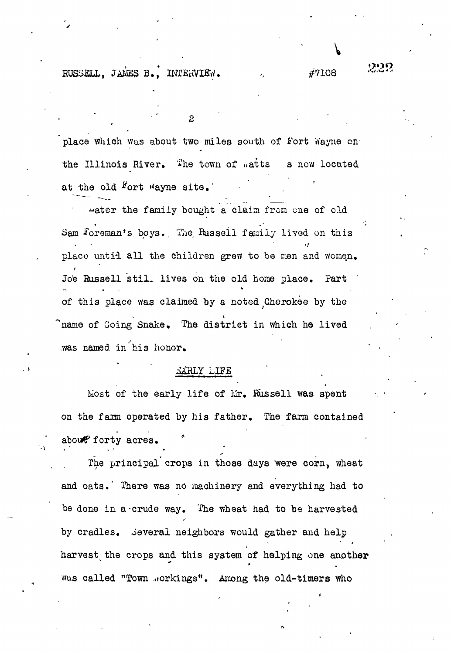RUSSELL, JAMES B., INTERVIEW.  $\hat{t}$  7108

place which was about two miles south of fort Wayne onthe Illinois River. The town of  $u$ atts s now located at the old  $F$ ort "ayne site.

 $\overline{2}$ 

water the family bought a claim from one of old Sam Foreman's boys. The Russell family lived on this place until all the children grew to be men and women. Jo'e Russell stil- lives on the old home place. Part of this place was claimed by a noted Cherokee by the v termine a strong program and the strong program and the strong program and the strong program and the strong <sup>&</sup>gt;name of Going Snake, The district in which he lived was named in his honor.

#### EARLY LIFE

Most of the early life of Mr. Russell was spent on the farm operated by his father. The farm contained about forty acres.

<u>Life</u>

The principal crops in those days were corn, wheat and oats.' There was no machinery and everything had to be done in a'crude way. The wheat had to be harvested by cradles. Several neighbors would gather and help harvest the crops and this system of helping one another was called "Town workings". Among the old-timers who

**V**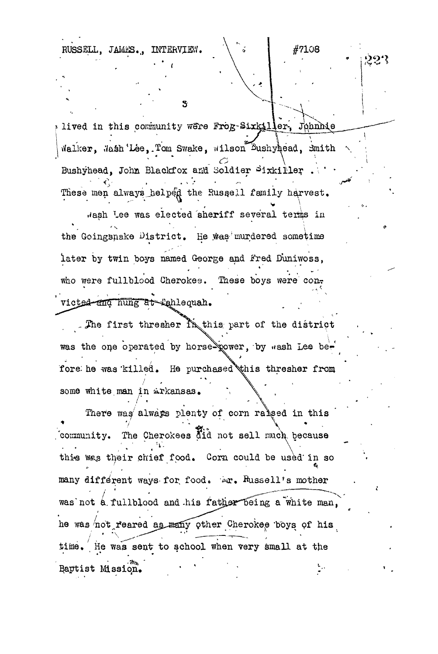RUSSELL, JAMES., INTERVIEW.

lived in this community were Frog-Sixkiller, Johnnie <code>Walker</code>,  $\texttt{Hash}'$ Lee,.Tom Swake, Wilson Bushyhead, Smith Bushyhead, John Blackfox and Soldier Sixkiller. These men always helped the Russell family harvest. wash Lee was elected 'sheriff several terias in the Goingsnake District. He was murdered sometime later by twin boys named George and Fred Duniwoss, who were fullblood Cherokee. These boys were con. **. J '** victed and hung at Tahlequah.

s.

#7108

ઝૂજુર

The first thresher  $\mathbb{N}$  this part of the district was the one operated by horse power, by «ash Lee before he was killed. He purchased this thresher from some white man in Arkansas.

• / •

There was always plenty of corn ralsed in this community. The Cherokees did not sell much because this was their chief food. Corn could be used in so many different ways for food. Ar. Russell's mother was not a fullblood and his father being a white man, he was not reared as many other Cherokee boys of his time. He was sent to school when very small at the Baptist Mission.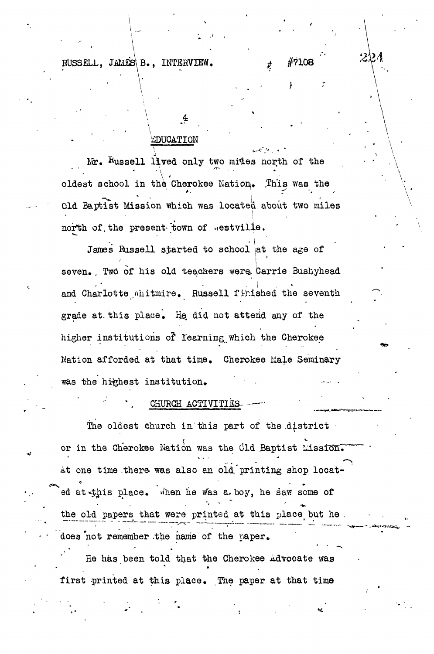#### RUSSELL, JAMES B., INTERVIEW.  $\#$   $\#$ 7108

#### EDUCATION

Mr. Russell lived only two mides north of the , where  $\mathcal{L}$  $\ddot{\mathbf{e}}$  cherokee wation $\ddot{\mathbf{e}}$ . Old Baptist Mission which was located about two miles north of the present town of westville.

 $\cdots$  .

James Russell started to school at the age of  $\mathbf{r}$ seven. Two of his old teachers were Carrie Bushyhead i t seven.. Two of the seventh in the seventh of the control the seventh  $\ddot{\phantom{1}}$ grade at this place. He did not attend any of the higher institutions of Iearning which the Cherokee higher institutions of the Cherokee and the Cherokee and the Cherokee and the Cherokee and the Cherokee and th<br>The Cherokee and the Cherokee and the Cherokee and the Cherokee and the Cherokee and the Cherokee and the Cher Nation afforded at that time, Cherokee Male Seminary

# was the highest institution of the highest institution.  $\mathcal{L}_\text{max}$

CHURCH ACTIVITIES- - — The oldest church in this part of the district or in the Cherokee Nation was the Cld Baptist Lission. At one time there was also an old printing shop located at this place. When he was a. boy, he saw some of ' and 's a strong state of the state of the state of the state of the state of the state of the state of the state of the state of the state of the state of the state of the state of the state of the state of the state of the old papers that were printed at this place but he . does not remember the name of the paper. . -  $\mathcal{L} = \mathcal{L} \times \mathcal{L}$  , where  $\mathcal{L} = \mathcal{L} \times \mathcal{L}$  is the set of  $\mathcal{L} = \mathcal{L} \times \mathcal{L}$ 

He has been told that the Cherokee Advocate was first printed at this place. The paper at that time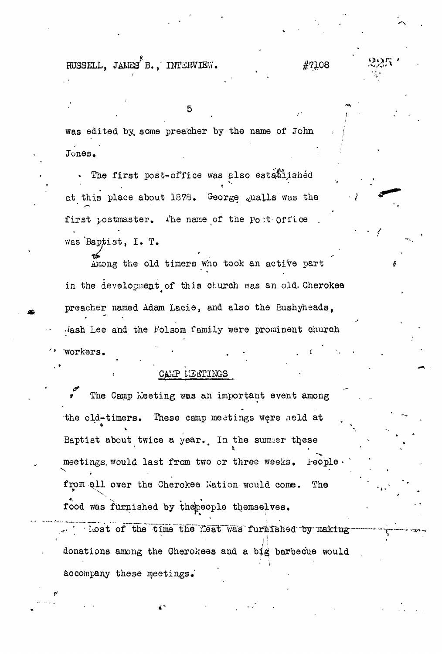RUSSELL, JAMES B., INTERVIEW.

#7108

was edited by, some preacher by the name of John Jones. •

5

The first post-office was also established at this place about  $1878$ . George qualls was the first postmaster. The name of the Port- Office was 'Baptist, I. T.

Among the old timers who took an active part in the development of this church was an old. Cherokee preacher named Adam Lacie, and also the Bushyheads, ./ash Lee and the i'olsom family were prominent church **WOTKers.** 

CALP LEATINGS

The Camp Meeting was an important event among the old-timers. These camp meetings were neld at Baptist about twice a year. In the summer these meetings would last from two or three weeks. Feople from all over the Cherokee Nation would come. The food was furnished by thepeople themselves.

\_-.« \_ " i . Lost of the time the Leat was furnished by making donations among the Oherokees and a big barbecue would **'' 1** accompany these meetings.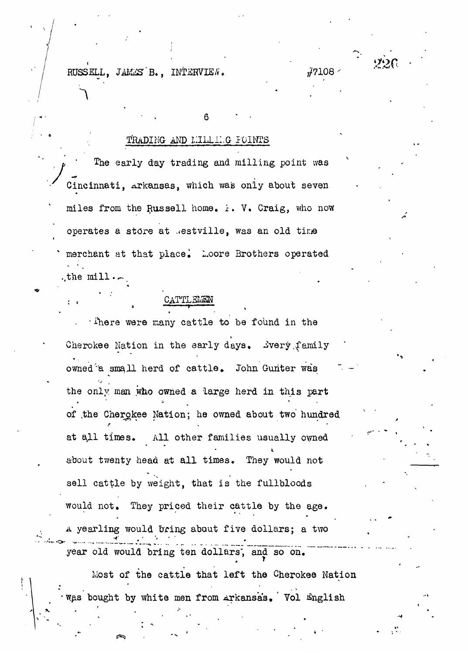RUSSELL, JAMES B., INTERVIEW.  $\frac{1}{17108}$ 

\*

## TRADING AND LILLLLG FOINTS

6 • •

The early day trading and milling point was Cincinnati, Arkansas, which was only about seven miles from the Russell home.  $\therefore$  V. Craig, who now operates a store at .estville, was an old time merchant at that place. Loore Brothers operated . the  $\min$ .

#### CATTLEMEN is a constant of the constant of the constant  $\mathbf{r}_i$  , where  $\mathbf{r}_i$

 $\cdot$  There were many cattle to be found in the Cherokee Nation in the early days. Jvery family owned'a small herd of cattle. John Gunter was the only man who owned a large herd in this part of the Cherokee Nation; he owned about two hundred at ajLl times. All other families usually owned about twenty head at all times. They would not sell cattle by weight, that is the fullbloods would not. They priced their cattle by the age. A yearling would bring about five dollars; a two  $\cdot$   $\sim$ year old would bring ten dollars', and so on.

Most of the cattle that left the Cherokee Nation -w.as bought by white men from Arkansas, ' Yol English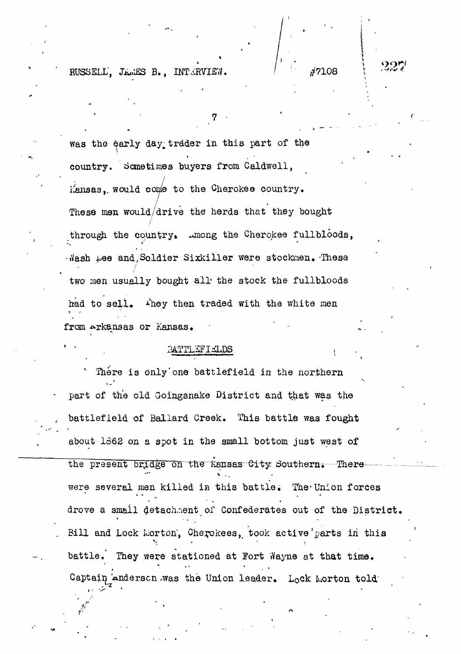RUSSELL', JAMES B., INTERVIEW. / / / / /7108

was the early day trader in this part of the country. Sometimes buyers from Caldwell, / Kansas,, would come to the Cherokee country. These men would/drive the herds that they bought /' through the country  $\mathcal{N}$  the country the Cherokee fullbloods, we could be contributed functions, we can contribute the countries of  $\mathcal{N}$ Wash tee and Soldier Sixkiller were stockmen. These -i/ash i/ash i/ash i/ash i/ash i/ash i/ash i/ash i/ash i/ash i/ash i/ash i/ash i/ash i/ash i/ash i/ash i/ash i<br>These stockments were stockness to the stock mental stock mental stock mental stock mental stock mental stockm two men usually bought all the stock the fullbloods two ities usually boundary boundary boundary  $\mathcal{L}$  the stock the fullbloods the stock the fullbloods of  $\mathcal{L}$ had to sell. They then traded with the white men had to sell,  $\mathbf{e}$  is the white mention that with the white mention  $\mathbf{e}$ from Arkansas or Kansas.

ၯၟၯၟႜၯ

#### BATTLEFIELDS

from Arkansas or Kansas. • ' -

There is only one battlefield in the northern part of the old Goingsnake District and that was the battlefield of Ballard Creek. This battle was fought about 1362 on a spot in the small bottom just west of the present bridge on the Kansas City Southern. -There were several men killed in this battle. The Union forces drove a small detachment of Confederates out of the District. Bill and Lock Morton, Cherokees, took active'parts in this battle. They were stationed at Fort Wayne at that time. Captain Anderscn was the Union leader. Lock Morton told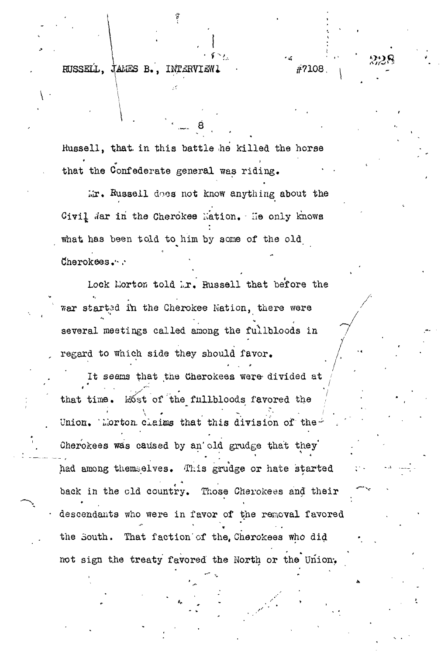$RUSSELL$ , JAMES B., INTERVIEW1  $#7108$ .

 $\cdot$ 

Russell, that in this battle he killed the horse that the Confederate general was riding.

 $Mr.$  Russell does not know anything about the Civil dar in the Cherokee Nation. He only knows what has been told to him by some of the old dherokees .\*-.•

Lock Morton told  $\lambda x$ . Russell that before the war started in the Cherokee Nation, there were several meetings called among the fullbloods in , regard to which side they should favor.

It seems that the Cherokees were divided at / that time. Most of the fullbloods favored the Union. Whorton claims that this division of the-Gherokees was caused by an'old grudge that they' had among themselves. This grudge or hate started back in the old country. Those Cherokees and their descendants who were in favor of the removal favored the South. That faction'of the, Cherokees who did not sign the treaty favored the North or the Union-,

228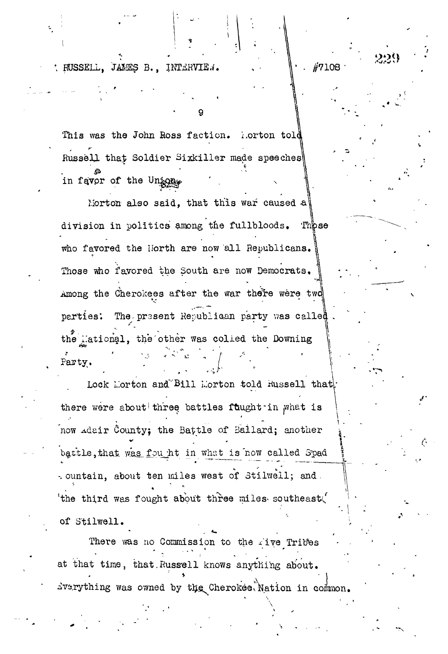$\langle$  RUSSELL, JAMES B., INTERVIE..  $\|\cdot\|$  /7108

**f**

This was the John Ross faction. Lorton told Russell that Soldier Sixkiller made speeches in favor of the Unions

9

Morton also said, that this war caused a division in politics among the fullbloods. Those who favored the Horth are now all Republicans. Those who favored the South are now Democrats. Among the Cherokees after the war there were two parties: The present Republican party was called the Hational, the other was colled the Downing **? '** Party,

Lock Morton and Bill Morton told Hussell that. there were about three battles fuught in what is now Adair County; the Battle of Bailard; another battle, that was fou ht in what is now called Spad *-.* ountain, about ten miles west of Stilwell; and. " 'the third was fought about three miles southeast.' of Stilwell.

 $\overline{\phantom{a}}$ There was no Commission to the five Tribes at that time, that. Russell knows anything about.  $\frac{1}{2}$ by rything was owned by the Cherokee Nation in common.

**" - I**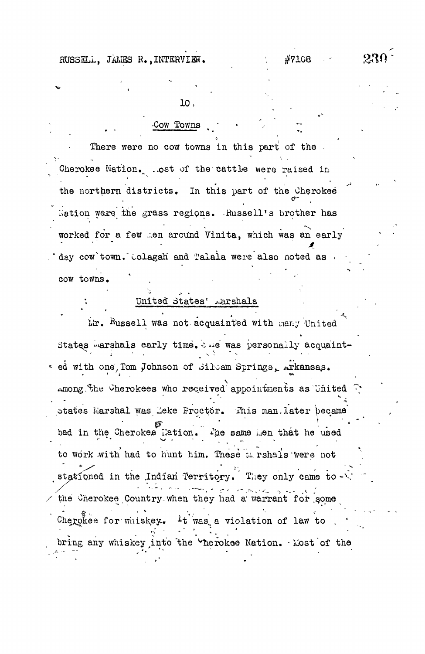#### $230\,$ #7108

#### 10,

#### Cow Towns

There were no cow towns in this part of the Cherokee Nation. ..ost of the cattle were raised in the northern districts. In this part of the Cherokee Mation ware the grass regions. Russell's brother has worked for a few men around Vinita, which was an early day cow town. Colagah and Talala were also noted as . cow towns.

#### United States' marshals

Mr. Russell was not acquainted with many United States warshals early time. & we was personally acquaint-. ed with one, Tom Johnson of Silcam Springs, Arkansas. among the Cherokees who received appointments as United  $\hat{\cdot}$ . states Marshal was Zeke Proctor. This man later became bad in the Cherokee lation. The same men that he used to work with had to hunt him. These mershals were not stationed in the Indian Territory. They only came to the Cherokee Country when they had a warrant for some Cherokee for whiskey. It was a violation of law to. bring any whiskey into the "herokee Nation. Most of the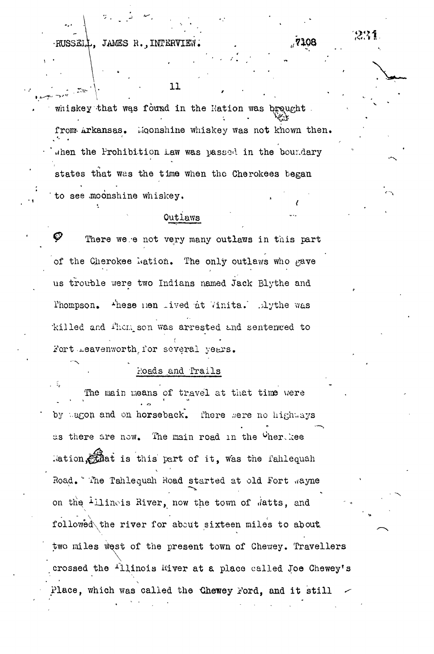HUSSEll, JAMES R.,INTERVIEWi

231

,7108

whiskey that was found in the Nation was brought. from Arkansas. Moonshine whiskey was not known then. .hen the Prohibition Law was passed in the boundary states that was the time when the Cherokees began to see moonshine whiskey.

11

#### Outlaws

 $\boldsymbol{\mathscr{G}}$  . There we.e not very many outlaws in this part of the Cherokee Mation. The only outlaws who gave us trouble were two Indians named Jack Blythe and Phompson. Ahese nen Tived at Vinita. Elythe was killed and i'hom son was arrested and sentenwed to Fort Leavenworth for several years.

#### Roads and Trails

The main means of travel at that time were by agon and on horseback. There mere no highways as there are now. The main road in the  $O$ her. kee lation, and is this part of it, was the fahlequah Road. "The Tahlequah Road started at old Fort wayne on the Illinois Hiver, now the town of n'atts, and followed the river for about sixteen miles to about two miles west of the present town of Chewey. Travellers crossed the <sup>1</sup>llinois hiver at a place called Joe Chewey's Place, which was called the Chewey Ford, and it still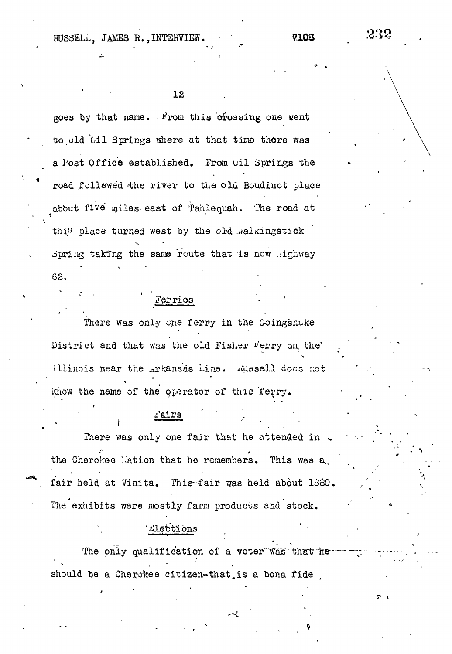RUSSELL, JAMES R., INTERVIEW. 7108

12

goes by that name. From this crossing one went to old Oil Springs where at that time there was a Post Office established, From Oil Springs the road followed the river to the old Boudinot place about five miles east of Tahlequah. The road at this place turned west by the old .walkingstick Spring taking the same route that is now highway 62.

### Ferries

There was only one ferry in the Goingsnake District and that was the old Fisher Ferry on the' illinois near the arkansas Line. Mussell docs net know the name of the operator of this ferry.

#### rairs

**\*** There was only one fair that he attended in  $\mathcal{L}_\mathbf{a}$ the Cherokee Mation that he remembers. This was a the Cherokee Nation that he remembers. This was a., fair held at Vinita. This fair was held about 1880. fair held a.t Vinita. This-fair was held about The exhibits were mostly farm products and stock.

The exhibits were most variable were most variable were most variable with  $\alpha$ 

#### 'Llections

The only qualification of a voter was that heshould be a Cherokee citizen-that is a bona fide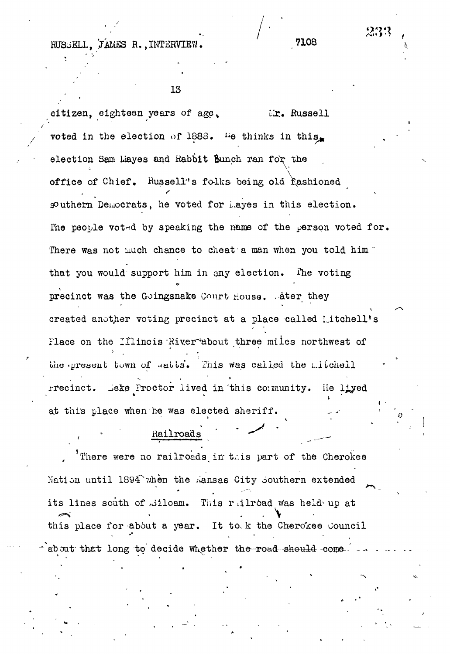RUSSELL. JAMES R., INTERVIEW.

233

13

tizen, eighteen years of age, Mr. Russell voted in the election of 1888. The thinks in this. election Sam Layes and Rabbit Bunch ran for the office of Chief. Russell's folks being old fashioned southern Democrats, he voted for hayes in this election. The people voted by speaking the name of the person voted for. There was not much chance to cheat a man when you told him " that you would support him in any election. The voting precinct was the Goingsnake Court House. Ater they created another voting precinct at a place called Litchell's Flace on the Illinois River about three miles northwest of the present town of satts. This was called the mitchell rrecinct. Leke Proctor lived in this community. He liyed at this place when he was elected sheriff.

There were no railroads in this part of the Cherokee Nation until 1894 when the Lansas City Southern extended its lines south of Siloam. This railroad was held up at this place for about a year. It to k the Cherokee Council about that long to decide whether the road should come.

Railroads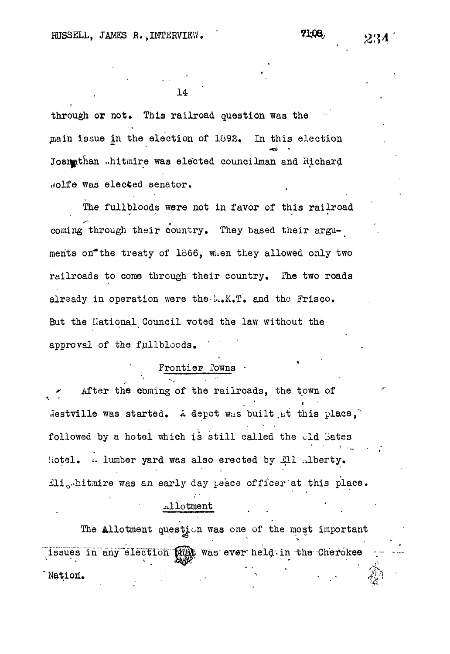through or not. This railroad question was the main issue in the election of 1892. In this election Joanathan ..hitmire was elected councilman and Richard Holfe was elected senator.

The fullbloods were not in favor of this railroad coming through their country. They based their arguments on the treaty of 1866, when they allowed only two railroads to come through their country. The two roads already in operation were the lask. T. and the Frisco. But the Hational Council voted the law without the approval of the fullbloods.

#### Frontier Powns .

After the coming of the railroads, the town of Westville was started. A depot was built at this place, followed by a hotel which is still called the old Bates Hotel. A lumber yard was also erected by £11 Alberty. Eli<sub>o"</sub>hitmire was an early day peace officer at this place.

#### Allotment

The Allotment question was one of the most important issues in any election high was ever held in the Cherokee Nation.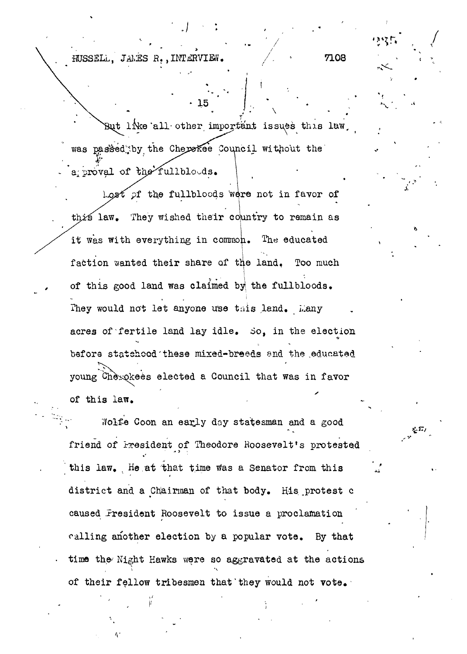HUSSELL, JALES R., INTERVIEW.  $\qquad \qquad / \qquad \qquad$  7108

 $\mathcal{F}^* \rightarrow \mathcal{F}^* \rightarrow \mathcal{F}^*$  . The contract of the contract of the contract of the contract of the contract of the contract of the contract of the contract of the contract of the contract of the contract of the contract

But like all other important issues this law, was passed by the Cherekee Council without the **I'** a; proval of the fullbloods.

\* 15

 $t$  of the fullbloods were not in favor of this law. They wished their country to remain as it was with everything in common. The educated faction wanted their share of the land. Too much of this good land was claimed byi the fullbloods. They would not let anyone use this land. Lany acres of fertile land lay idle. So, in the election bsfors statehood'these mixed-breeds snd the .educated young Cherokees elected a Council that was in favor of this law.

Nolfe Coon an early day statesman and a good friend of President of Theodore Roosevelt's protested this law. He at that time was a Senator from this district and a Chairman of that body. His protest c caused Fresident Roosevelt to issue a proclamation calling another election by a popular vote. By that time the Night Hawks were so aggravated at the actions of their fellow tribesmen that"they would not vote.